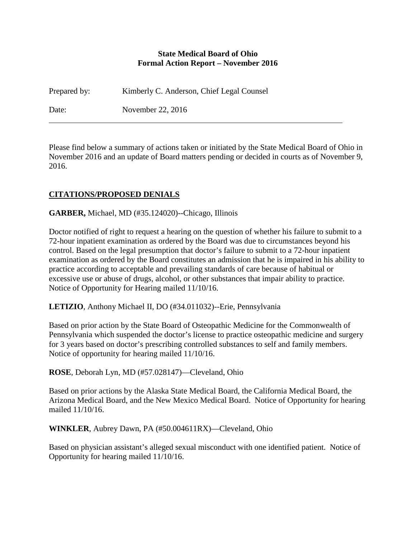### **State Medical Board of Ohio Formal Action Report – November 2016**

Prepared by: Kimberly C. Anderson, Chief Legal Counsel

Date: November 22, 2016

Please find below a summary of actions taken or initiated by the State Medical Board of Ohio in November 2016 and an update of Board matters pending or decided in courts as of November 9, 2016.

# **CITATIONS/PROPOSED DENIALS**

**GARBER,** Michael, MD (#35.124020)--Chicago, Illinois

Doctor notified of right to request a hearing on the question of whether his failure to submit to a 72-hour inpatient examination as ordered by the Board was due to circumstances beyond his control. Based on the legal presumption that doctor's failure to submit to a 72-hour inpatient examination as ordered by the Board constitutes an admission that he is impaired in his ability to practice according to acceptable and prevailing standards of care because of habitual or excessive use or abuse of drugs, alcohol, or other substances that impair ability to practice. Notice of Opportunity for Hearing mailed 11/10/16.

**LETIZIO**, Anthony Michael II, DO (#34.011032)--Erie, Pennsylvania

Based on prior action by the State Board of Osteopathic Medicine for the Commonwealth of Pennsylvania which suspended the doctor's license to practice osteopathic medicine and surgery for 3 years based on doctor's prescribing controlled substances to self and family members. Notice of opportunity for hearing mailed 11/10/16.

**ROSE**, Deborah Lyn, MD (#57.028147)—Cleveland, Ohio

Based on prior actions by the Alaska State Medical Board, the California Medical Board, the Arizona Medical Board, and the New Mexico Medical Board. Notice of Opportunity for hearing mailed 11/10/16.

**WINKLER**, Aubrey Dawn, PA (#50.004611RX)—Cleveland, Ohio

Based on physician assistant's alleged sexual misconduct with one identified patient. Notice of Opportunity for hearing mailed 11/10/16.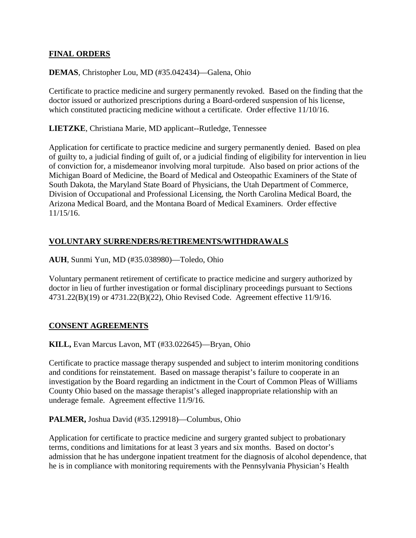### **FINAL ORDERS**

### **DEMAS**, Christopher Lou, MD (#35.042434)—Galena, Ohio

Certificate to practice medicine and surgery permanently revoked. Based on the finding that the doctor issued or authorized prescriptions during a Board-ordered suspension of his license, which constituted practicing medicine without a certificate. Order effective 11/10/16.

**LIETZKE**, Christiana Marie, MD applicant--Rutledge, Tennessee

Application for certificate to practice medicine and surgery permanently denied. Based on plea of guilty to, a judicial finding of guilt of, or a judicial finding of eligibility for intervention in lieu of conviction for, a misdemeanor involving moral turpitude. Also based on prior actions of the Michigan Board of Medicine, the Board of Medical and Osteopathic Examiners of the State of South Dakota, the Maryland State Board of Physicians, the Utah Department of Commerce, Division of Occupational and Professional Licensing, the North Carolina Medical Board, the Arizona Medical Board, and the Montana Board of Medical Examiners. Order effective 11/15/16.

# **VOLUNTARY SURRENDERS/RETIREMENTS/WITHDRAWALS**

**AUH**, Sunmi Yun, MD (#35.038980)—Toledo, Ohio

Voluntary permanent retirement of certificate to practice medicine and surgery authorized by doctor in lieu of further investigation or formal disciplinary proceedings pursuant to Sections 4731.22(B)(19) or 4731.22(B)(22), Ohio Revised Code. Agreement effective 11/9/16.

### **CONSENT AGREEMENTS**

**KILL,** Evan Marcus Lavon, MT (#33.022645)—Bryan, Ohio

Certificate to practice massage therapy suspended and subject to interim monitoring conditions and conditions for reinstatement. Based on massage therapist's failure to cooperate in an investigation by the Board regarding an indictment in the Court of Common Pleas of Williams County Ohio based on the massage therapist's alleged inappropriate relationship with an underage female. Agreement effective 11/9/16.

### **PALMER,** Joshua David (#35.129918)—Columbus, Ohio

Application for certificate to practice medicine and surgery granted subject to probationary terms, conditions and limitations for at least 3 years and six months. Based on doctor's admission that he has undergone inpatient treatment for the diagnosis of alcohol dependence, that he is in compliance with monitoring requirements with the Pennsylvania Physician's Health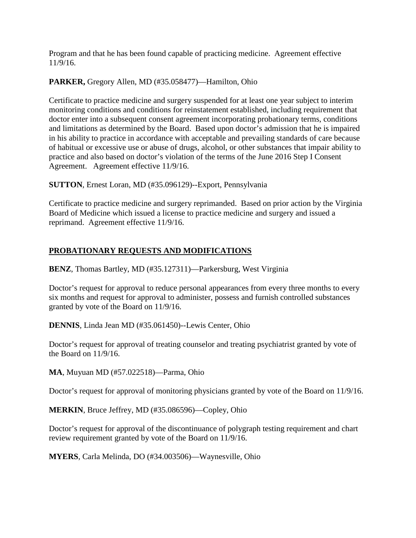Program and that he has been found capable of practicing medicine. Agreement effective 11/9/16.

# **PARKER,** Gregory Allen, MD (#35.058477)—Hamilton, Ohio

Certificate to practice medicine and surgery suspended for at least one year subject to interim monitoring conditions and conditions for reinstatement established, including requirement that doctor enter into a subsequent consent agreement incorporating probationary terms, conditions and limitations as determined by the Board. Based upon doctor's admission that he is impaired in his ability to practice in accordance with acceptable and prevailing standards of care because of habitual or excessive use or abuse of drugs, alcohol, or other substances that impair ability to practice and also based on doctor's violation of the terms of the June 2016 Step I Consent Agreement. Agreement effective 11/9/16.

**SUTTON**, Ernest Loran, MD (#35.096129)--Export, Pennsylvania

Certificate to practice medicine and surgery reprimanded. Based on prior action by the Virginia Board of Medicine which issued a license to practice medicine and surgery and issued a reprimand. Agreement effective 11/9/16.

# **PROBATIONARY REQUESTS AND MODIFICATIONS**

**BENZ**, Thomas Bartley, MD (#35.127311)—Parkersburg, West Virginia

Doctor's request for approval to reduce personal appearances from every three months to every six months and request for approval to administer, possess and furnish controlled substances granted by vote of the Board on 11/9/16.

**DENNIS**, Linda Jean MD (#35.061450)--Lewis Center, Ohio

Doctor's request for approval of treating counselor and treating psychiatrist granted by vote of the Board on 11/9/16.

**MA**, Muyuan MD (#57.022518)—Parma, Ohio

Doctor's request for approval of monitoring physicians granted by vote of the Board on 11/9/16.

**MERKIN**, Bruce Jeffrey, MD (#35.086596)—Copley, Ohio

Doctor's request for approval of the discontinuance of polygraph testing requirement and chart review requirement granted by vote of the Board on 11/9/16.

**MYERS**, Carla Melinda, DO (#34.003506)—Waynesville, Ohio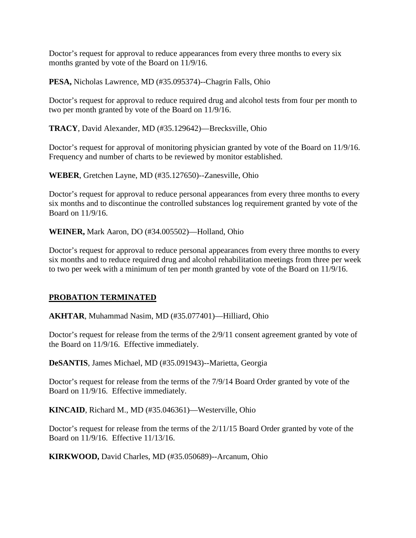Doctor's request for approval to reduce appearances from every three months to every six months granted by vote of the Board on 11/9/16.

**PESA,** Nicholas Lawrence, MD (#35.095374)--Chagrin Falls, Ohio

Doctor's request for approval to reduce required drug and alcohol tests from four per month to two per month granted by vote of the Board on 11/9/16.

**TRACY**, David Alexander, MD (#35.129642)—Brecksville, Ohio

Doctor's request for approval of monitoring physician granted by vote of the Board on 11/9/16. Frequency and number of charts to be reviewed by monitor established.

**WEBER**, Gretchen Layne, MD (#35.127650)--Zanesville, Ohio

Doctor's request for approval to reduce personal appearances from every three months to every six months and to discontinue the controlled substances log requirement granted by vote of the Board on 11/9/16.

**WEINER,** Mark Aaron, DO (#34.005502)—Holland, Ohio

Doctor's request for approval to reduce personal appearances from every three months to every six months and to reduce required drug and alcohol rehabilitation meetings from three per week to two per week with a minimum of ten per month granted by vote of the Board on 11/9/16.

# **PROBATION TERMINATED**

**AKHTAR**, Muhammad Nasim, MD (#35.077401)—Hilliard, Ohio

Doctor's request for release from the terms of the 2/9/11 consent agreement granted by vote of the Board on 11/9/16. Effective immediately.

**DeSANTIS**, James Michael, MD (#35.091943)--Marietta, Georgia

Doctor's request for release from the terms of the 7/9/14 Board Order granted by vote of the Board on 11/9/16. Effective immediately.

**KINCAID**, Richard M., MD (#35.046361)—Westerville, Ohio

Doctor's request for release from the terms of the 2/11/15 Board Order granted by vote of the Board on 11/9/16. Effective 11/13/16.

**KIRKWOOD,** David Charles, MD (#35.050689)--Arcanum, Ohio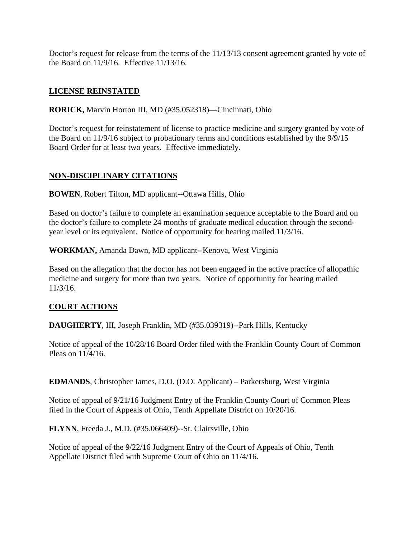Doctor's request for release from the terms of the 11/13/13 consent agreement granted by vote of the Board on 11/9/16. Effective 11/13/16.

# **LICENSE REINSTATED**

**RORICK,** Marvin Horton III, MD (#35.052318)—Cincinnati, Ohio

Doctor's request for reinstatement of license to practice medicine and surgery granted by vote of the Board on 11/9/16 subject to probationary terms and conditions established by the 9/9/15 Board Order for at least two years. Effective immediately.

# **NON-DISCIPLINARY CITATIONS**

**BOWEN**, Robert Tilton, MD applicant--Ottawa Hills, Ohio

Based on doctor's failure to complete an examination sequence acceptable to the Board and on the doctor's failure to complete 24 months of graduate medical education through the secondyear level or its equivalent. Notice of opportunity for hearing mailed 11/3/16.

**WORKMAN,** Amanda Dawn, MD applicant--Kenova, West Virginia

Based on the allegation that the doctor has not been engaged in the active practice of allopathic medicine and surgery for more than two years. Notice of opportunity for hearing mailed 11/3/16.

# **COURT ACTIONS**

**DAUGHERTY**, III, Joseph Franklin, MD (#35.039319)--Park Hills, Kentucky

Notice of appeal of the 10/28/16 Board Order filed with the Franklin County Court of Common Pleas on 11/4/16.

**EDMANDS**, Christopher James, D.O. (D.O. Applicant) – Parkersburg, West Virginia

Notice of appeal of 9/21/16 Judgment Entry of the Franklin County Court of Common Pleas filed in the Court of Appeals of Ohio, Tenth Appellate District on 10/20/16.

**FLYNN**, Freeda J., M.D. (#35.066409)--St. Clairsville, Ohio

Notice of appeal of the 9/22/16 Judgment Entry of the Court of Appeals of Ohio, Tenth Appellate District filed with Supreme Court of Ohio on 11/4/16.